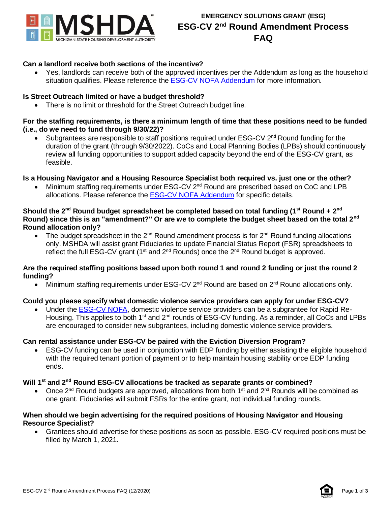

# **Can a landlord receive both sections of the incentive?**

• Yes, landlords can receive both of the approved incentives per the Addendum as long as the household situation qualifies. Please reference the **ESG-CV NOFA Addendum** for more information.

### **Is Street Outreach limited or have a budget threshold?**

• There is no limit or threshold for the Street Outreach budget line.

#### **For the staffing requirements, is there a minimum length of time that these positions need to be funded (i.e., do we need to fund through 9/30/22)?**

Subgrantees are responsible to staff positions required under  $ESG-CV 2<sup>nd</sup>$  Round funding for the duration of the grant (through 9/30/2022). CoCs and Local Planning Bodies (LPBs) should continuously review all funding opportunities to support added capacity beyond the end of the ESG-CV grant, as feasible.

### **Is a Housing Navigator and a Housing Resource Specialist both required vs. just one or the other?**

• Minimum staffing requirements under ESG-CV 2nd Round are prescribed based on CoC and LPB allocations. Please reference the [ESG-CV NOFA Addendum](https://www.michigan.gov/documents/mshda/ESG-CV_Second_Round_NOFA_Addendum_708360_7.pdf) for specific details.

#### **Should the 2nd Round budget spreadsheet be completed based on total funding (1st Round + 2 nd Round) since this is an "amendment?" Or are we to complete the budget sheet based on the total 2nd Round allocation only?**

The budget spreadsheet in the  $2^{nd}$  Round amendment process is for  $2^{nd}$  Round funding allocations only. MSHDA will assist grant Fiduciaries to update Financial Status Report (FSR) spreadsheets to reflect the full ESG-CV grant  $(1<sup>st</sup>$  and  $2<sup>nd</sup>$  Rounds) once the  $2<sup>nd</sup>$  Round budget is approved.

#### **Are the required staffing positions based upon both round 1 and round 2 funding or just the round 2 funding?**

• Minimum staffing requirements under ESG-CV 2<sup>nd</sup> Round are based on 2<sup>nd</sup> Round allocations only.

### **Could you please specify what domestic violence service providers can apply for under ESG-CV?**

• Under the [ESG-CV NOFA,](https://www.michigan.gov/documents/mshda/ESG-CV_NOFA_689109_7.pdf) domestic violence service providers can be a subgrantee for Rapid Re-Housing. This applies to both 1<sup>st</sup> and 2<sup>nd</sup> rounds of ESG-CV funding. As a reminder, all CoCs and LPBs are encouraged to consider new subgrantees, including domestic violence service providers.

### **Can rental assistance under ESG-CV be paired with the Eviction Diversion Program?**

• ESG-CV funding can be used in conjunction with EDP funding by either assisting the eligible household with the required tenant portion of payment or to help maintain housing stability once EDP funding ends.

# **Will 1st and 2nd Round ESG-CV allocations be tracked as separate grants or combined?**

Once 2<sup>nd</sup> Round budgets are approved, allocations from both 1<sup>st</sup> and 2<sup>nd</sup> Rounds will be combined as one grant. Fiduciaries will submit FSRs for the entire grant, not individual funding rounds.

#### **When should we begin advertising for the required positions of Housing Navigator and Housing Resource Specialist?**

• Grantees should advertise for these positions as soon as possible. ESG-CV required positions must be filled by March 1, 2021.

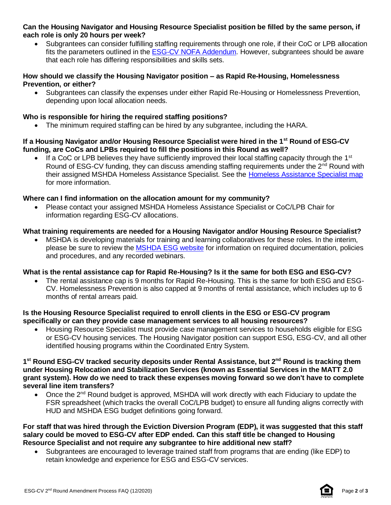### **Can the Housing Navigator and Housing Resource Specialist position be filled by the same person, if each role is only 20 hours per week?**

• Subgrantees can consider fulfilling staffing requirements through one role, if their CoC or LPB allocation fits the parameters outlined in th[e ESG-CV NOFA Addendum.](https://www.michigan.gov/documents/mshda/ESG-CV_Second_Round_NOFA_Addendum_708360_7.pdf) However, subgrantees should be aware that each role has differing responsibilities and skills sets.

### **How should we classify the Housing Navigator position – as Rapid Re-Housing, Homelessness Prevention, or either?**

• Subgrantees can classify the expenses under either Rapid Re-Housing or Homelessness Prevention, depending upon local allocation needs.

# **Who is responsible for hiring the required staffing positions?**

The minimum required staffing can be hired by any subgrantee, including the HARA.

### **If a Housing Navigator and/or Housing Resource Specialist were hired in the 1st Round of ESG-CV funding, are CoCs and LPBs required to fill the positions in this Round as well?**

 $\bullet$  If a CoC or LPB believes they have sufficiently improved their local staffing capacity through the 1<sup>st</sup> Round of ESG-CV funding, they can discuss amending staffing requirements under the 2<sup>nd</sup> Round with their assigned MSHDA Homeless Assistance Specialist. See the [Homeless Assistance Specialist map](https://www.michigan.gov/documents/mshda/Homeless_Assistance_Specialist_Map_694568_7.pdf) for more information.

# **Where can I find information on the allocation amount for my community?**

• Please contact your assigned MSHDA Homeless Assistance Specialist or CoC/LPB Chair for information regarding ESG-CV allocations.

# **What training requirements are needed for a Housing Navigator and/or Housing Resource Specialist?**

• MSHDA is developing materials for training and learning collaboratives for these roles. In the interim, please be sure to review th[e MSHDA ESG website](https://www.michigan.gov/mshda/0,4641,7-141-5515_15273-241719--,00.html) for information on required documentation, policies and procedures, and any recorded webinars.

# **What is the rental assistance cap for Rapid Re-Housing? Is it the same for both ESG and ESG-CV?**

• The rental assistance cap is 9 months for Rapid Re-Housing. This is the same for both ESG and ESG-CV. Homelessness Prevention is also capped at 9 months of rental assistance, which includes up to 6 months of rental arrears paid.

### **Is the Housing Resource Specialist required to enroll clients in the ESG or ESG-CV program specifically or can they provide case management services to all housing resources?**

• Housing Resource Specialist must provide case management services to households eligible for ESG or ESG-CV housing services. The Housing Navigator position can support ESG, ESG-CV, and all other identified housing programs within the Coordinated Entry System.

#### **1 st Round ESG-CV tracked security deposits under Rental Assistance, but 2nd Round is tracking them under Housing Relocation and Stabilization Services (known as Essential Services in the MATT 2.0 grant system). How do we need to track these expenses moving forward so we don't have to complete several line item transfers?**

• Once the 2<sup>nd</sup> Round budget is approved, MSHDA will work directly with each Fiduciary to update the FSR spreadsheet (which tracks the overall CoC/LPB budget) to ensure all funding aligns correctly with HUD and MSHDA ESG budget definitions going forward.

#### **For staff that was hired through the Eviction Diversion Program (EDP), it was suggested that this staff salary could be moved to ESG-CV after EDP ended. Can this staff title be changed to Housing Resource Specialist and not require any subgrantee to hire additional new staff?**

• Subgrantees are encouraged to leverage trained staff from programs that are ending (like EDP) to retain knowledge and experience for ESG and ESG-CV services.